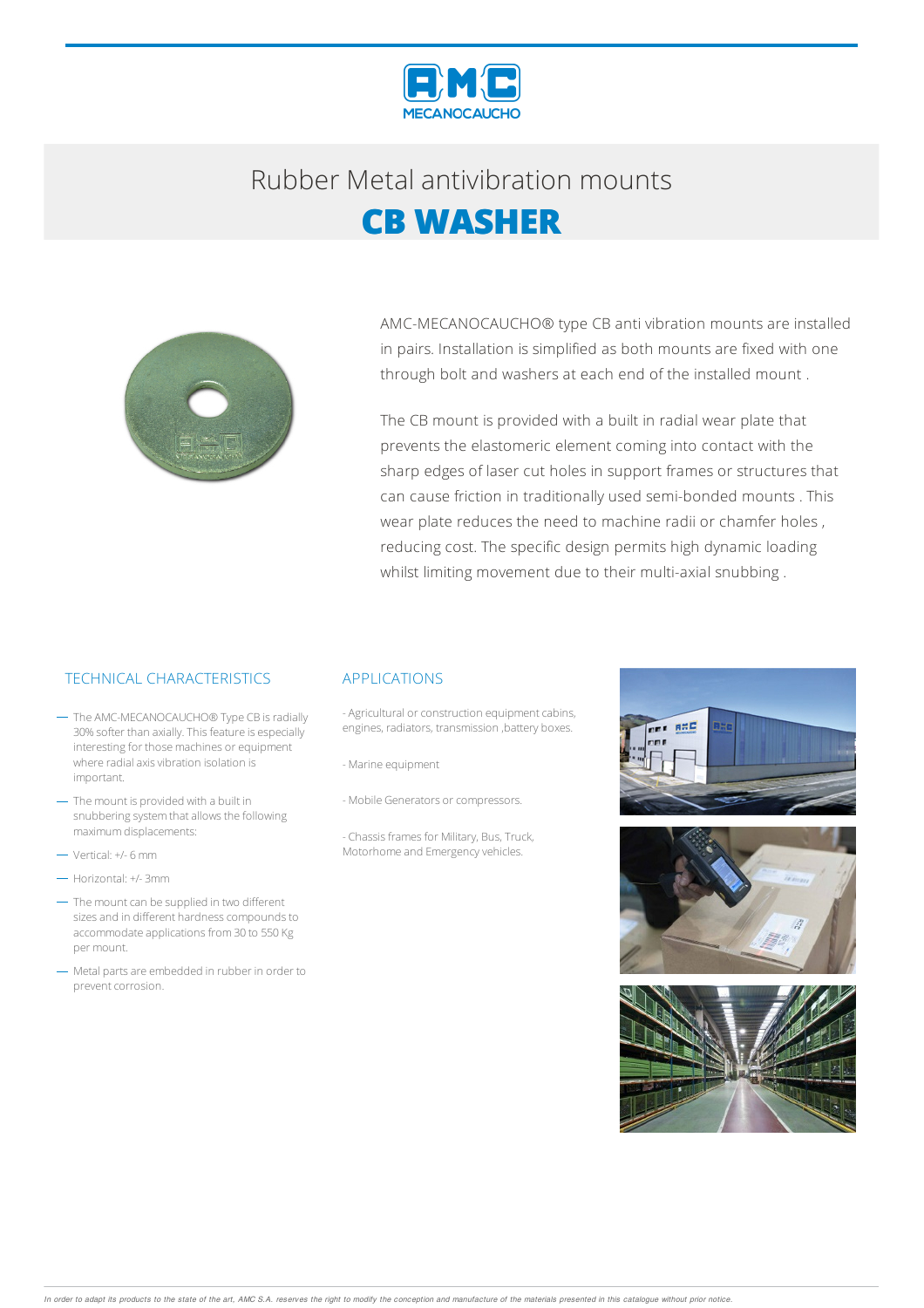

# Rubber Metalantivibration mounts **CB WASHER**

AMC-MECANOCAUCHO® type CB anti vibration mounts are installed in pairs. Installation is simplified as both mounts are fixed with one through bolt and washers at each end of the installed mount .

The CB mount is provided with a built in radial wear plate that prevents the elastomeric element coming into contact with the sharp edges of laser cut holes in support frames or structures that can cause friction in traditionally used semi-bonded mounts . This wear plate reduces the need to machine radii or chamfer holes , reducing cost. The specific design permits high dynamic loading whilst limiting movement due to their multi-axial snubbing .

## TECHNICAL CHARACTERISTICS APPLICATIONS

- The AMC-MECANOCAUCHO® Type CB is radially 30% softer than axially. This feature is especially interesting for those machines or equipment where radial axis vibration isolation is important.
- The mount is provided with a built in snubbering system that allows the following maximumdisplacements:
- Vertical: +/- 6mm
- Horizontal: +/- 3mm
- The mount can be supplied in two different sizes and in different hardness compounds to accommodate applications from 30 to 550 Kg per mount.
- Metal parts are embedded in rubber in order to prevent corrosion.

- Agricultural or construction equipment cabins, engines, radiators, transmission ,battery boxes.
- -Marine equipment
- Mobile Generators or compressors.
- Chassis frames for Military, Bus, Truck, Motorhome and Emergency vehicles.





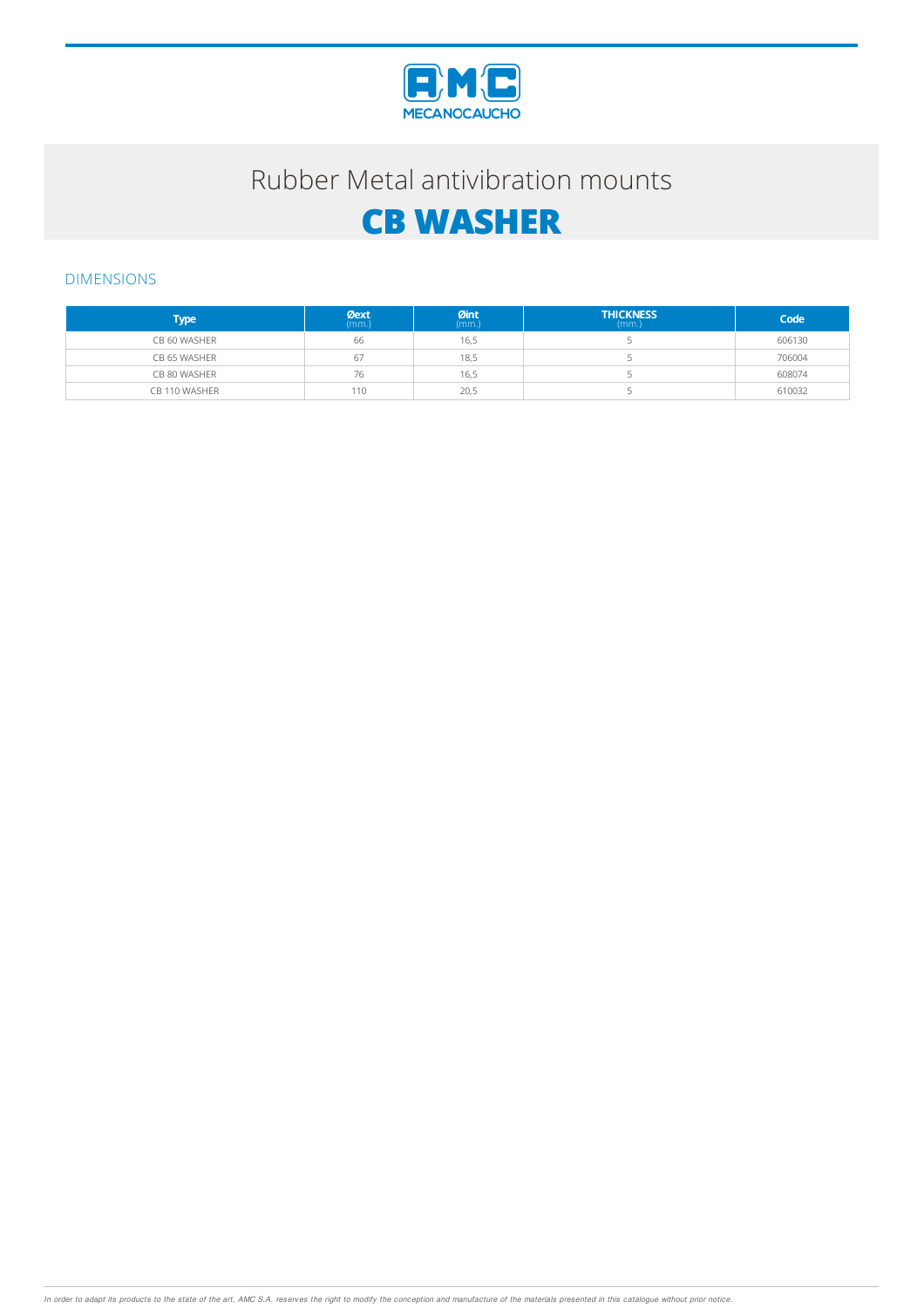

# Rubber Metal antivibration mounts

# **CB WASHER**

### DIMENSIONS

| <b>Type</b>   | $Q$ ext | $Qint_{(mm.)}$ | <b>THICKNESS</b><br>(mm.) | Code   |
|---------------|---------|----------------|---------------------------|--------|
| CB 60 WASHER  | 66      | 16,5           |                           | 606130 |
| CB 65 WASHER  | 67      | 18,5           |                           | 706004 |
| CB 80 WASHER  | 76      | 16,5           |                           | 608074 |
| CB 110 WASHER | 110     | 20,5           |                           | 610032 |

In order to adapt its products to the state of the art, AMC S.A. reserves the right to modify the conception and manufacture of the materials presented in this catalogue without prior notice.